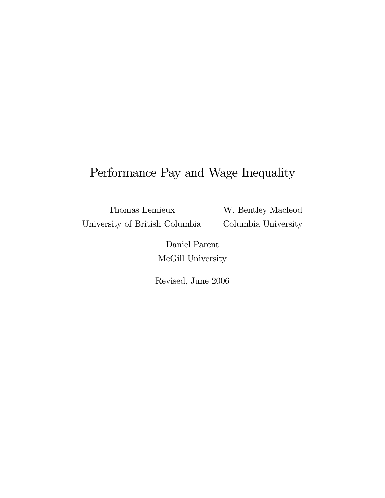## Performance Pay and Wage Inequality

Thomas Lemieux University of British Columbia W. Bentley Macleod Columbia University

Daniel Parent McGill University

Revised, June 2006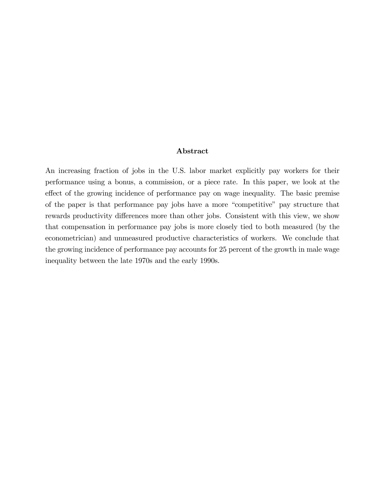#### Abstract

An increasing fraction of jobs in the U.S. labor market explicitly pay workers for their performance using a bonus, a commission, or a piece rate. In this paper, we look at the effect of the growing incidence of performance pay on wage inequality. The basic premise of the paper is that performance pay jobs have a more "competitive" pay structure that rewards productivity differences more than other jobs. Consistent with this view, we show that compensation in performance pay jobs is more closely tied to both measured (by the econometrician) and unmeasured productive characteristics of workers. We conclude that the growing incidence of performance pay accounts for 25 percent of the growth in male wage inequality between the late 1970s and the early 1990s.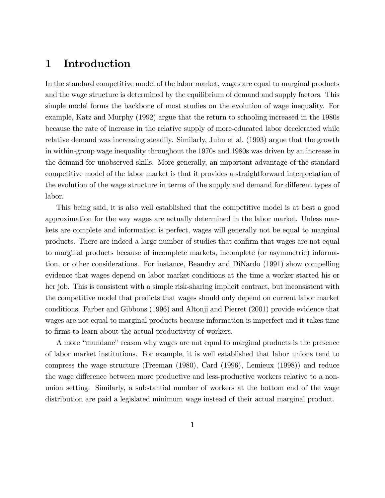## 1 Introduction

In the standard competitive model of the labor market, wages are equal to marginal products and the wage structure is determined by the equilibrium of demand and supply factors. This simple model forms the backbone of most studies on the evolution of wage inequality. For example, Katz and Murphy (1992) argue that the return to schooling increased in the 1980s because the rate of increase in the relative supply of more-educated labor decelerated while relative demand was increasing steadily. Similarly, Juhn et al. (1993) argue that the growth in within-group wage inequality throughout the 1970s and 1980s was driven by an increase in the demand for unobserved skills. More generally, an important advantage of the standard competitive model of the labor market is that it provides a straightforward interpretation of the evolution of the wage structure in terms of the supply and demand for different types of labor.

This being said, it is also well established that the competitive model is at best a good approximation for the way wages are actually determined in the labor market. Unless markets are complete and information is perfect, wages will generally not be equal to marginal products. There are indeed a large number of studies that confirm that wages are not equal to marginal products because of incomplete markets, incomplete (or asymmetric) information, or other considerations. For instance, Beaudry and DiNardo (1991) show compelling evidence that wages depend on labor market conditions at the time a worker started his or her job. This is consistent with a simple risk-sharing implicit contract, but inconsistent with the competitive model that predicts that wages should only depend on current labor market conditions. Farber and Gibbons (1996) and Altonji and Pierret (2001) provide evidence that wages are not equal to marginal products because information is imperfect and it takes time to firms to learn about the actual productivity of workers.

A more "mundane" reason why wages are not equal to marginal products is the presence of labor market institutions. For example, it is well established that labor unions tend to compress the wage structure (Freeman (1980), Card (1996), Lemieux (1998)) and reduce the wage difference between more productive and less-productive workers relative to a nonunion setting. Similarly, a substantial number of workers at the bottom end of the wage distribution are paid a legislated minimum wage instead of their actual marginal product.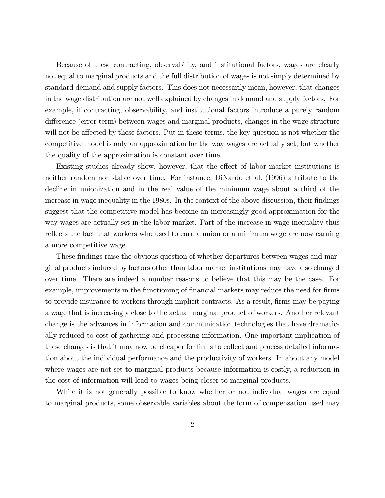Because of these contracting, observability, and institutional factors, wages are clearly not equal to marginal products and the full distribution of wages is not simply determined by standard demand and supply factors. This does not necessarily mean, however, that changes in the wage distribution are not well explained by changes in demand and supply factors. For example, if contracting, observability, and institutional factors introduce a purely random difference (error term) between wages and marginal products, changes in the wage structure will not be affected by these factors. Put in these terms, the key question is not whether the competitive model is only an approximation for the way wages are actually set, but whether the quality of the approximation is constant over time.

Existing studies already show, however, that the effect of labor market institutions is neither random nor stable over time. For instance, DiNardo et al. (1996) attribute to the decline in unionization and in the real value of the minimum wage about a third of the increase in wage inequality in the 1980s. In the context of the above discussion, their findings suggest that the competitive model has become an increasingly good approximation for the way wages are actually set in the labor market. Part of the increase in wage inequality thus reflects the fact that workers who used to earn a union or a minimum wage are now earning a more competitive wage.

These findings raise the obvious question of whether departures between wages and marginal products induced by factors other than labor market institutions may have also changed over time. There are indeed a number reasons to believe that this may be the case. For example, improvements in the functioning of financial markets may reduce the need for firms to provide insurance to workers through implicit contracts. As a result, firms may be paying a wage that is increasingly close to the actual marginal product of workers. Another relevant change is the advances in information and communication technologies that have dramatically reduced to cost of gathering and processing information. One important implication of these changes is that it may now be cheaper for firms to collect and process detailed information about the individual performance and the productivity of workers. In about any model where wages are not set to marginal products because information is costly, a reduction in the cost of information will lead to wages being closer to marginal products.

While it is not generally possible to know whether or not individual wages are equal to marginal products, some observable variables about the form of compensation used may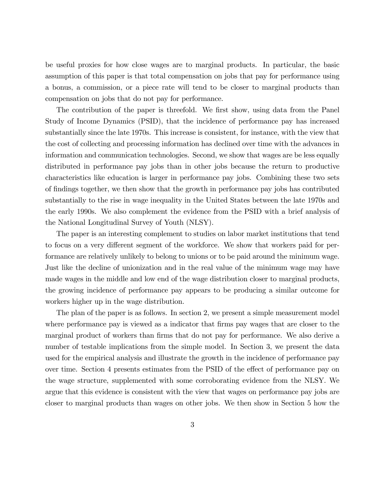be useful proxies for how close wages are to marginal products. In particular, the basic assumption of this paper is that total compensation on jobs that pay for performance using a bonus, a commission, or a piece rate will tend to be closer to marginal products than compensation on jobs that do not pay for performance.

The contribution of the paper is threefold. We first show, using data from the Panel Study of Income Dynamics (PSID), that the incidence of performance pay has increased substantially since the late 1970s. This increase is consistent, for instance, with the view that the cost of collecting and processing information has declined over time with the advances in information and communication technologies. Second, we show that wages are be less equally distributed in performance pay jobs than in other jobs because the return to productive characteristics like education is larger in performance pay jobs. Combining these two sets of Öndings together, we then show that the growth in performance pay jobs has contributed substantially to the rise in wage inequality in the United States between the late 1970s and the early 1990s. We also complement the evidence from the PSID with a brief analysis of the National Longitudinal Survey of Youth (NLSY).

The paper is an interesting complement to studies on labor market institutions that tend to focus on a very different segment of the workforce. We show that workers paid for performance are relatively unlikely to belong to unions or to be paid around the minimum wage. Just like the decline of unionization and in the real value of the minimum wage may have made wages in the middle and low end of the wage distribution closer to marginal products, the growing incidence of performance pay appears to be producing a similar outcome for workers higher up in the wage distribution.

The plan of the paper is as follows. In section 2, we present a simple measurement model where performance pay is viewed as a indicator that firms pay wages that are closer to the marginal product of workers than firms that do not pay for performance. We also derive a number of testable implications from the simple model. In Section 3, we present the data used for the empirical analysis and illustrate the growth in the incidence of performance pay over time. Section 4 presents estimates from the PSID of the effect of performance pay on the wage structure, supplemented with some corroborating evidence from the NLSY. We argue that this evidence is consistent with the view that wages on performance pay jobs are closer to marginal products than wages on other jobs. We then show in Section 5 how the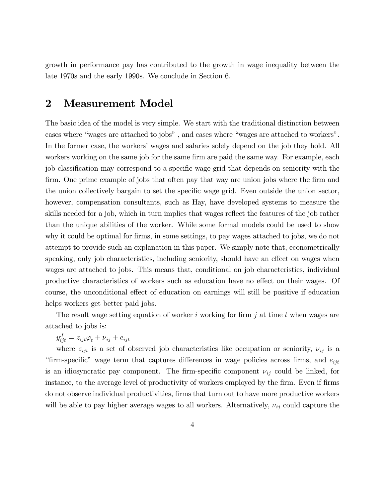growth in performance pay has contributed to the growth in wage inequality between the late 1970s and the early 1990s. We conclude in Section 6.

## 2 Measurement Model

The basic idea of the model is very simple. We start with the traditional distinction between cases where "wages are attached to jobs", and cases where "wages are attached to workers". In the former case, the workers' wages and salaries solely depend on the job they hold. All workers working on the same job for the same firm are paid the same way. For example, each job classification may correspond to a specific wage grid that depends on seniority with the firm. One prime example of jobs that often pay that way are union jobs where the firm and the union collectively bargain to set the specific wage grid. Even outside the union sector, however, compensation consultants, such as Hay, have developed systems to measure the skills needed for a job, which in turn implies that wages reflect the features of the job rather than the unique abilities of the worker. While some formal models could be used to show why it could be optimal for firms, in some settings, to pay wages attached to jobs, we do not attempt to provide such an explanation in this paper. We simply note that, econometrically speaking, only job characteristics, including seniority, should have an effect on wages when wages are attached to jobs. This means that, conditional on job characteristics, individual productive characteristics of workers such as education have no effect on their wages. Of course, the unconditional effect of education on earnings will still be positive if education helps workers get better paid jobs.

The result wage setting equation of worker i working for firm  $j$  at time t when wages are attached to jobs is:

 $y_{ijt}^J = z_{ijt}\varphi_t + \nu_{ij} + e_{ijt}$ 

where  $z_{ijt}$  is a set of observed job characteristics like occupation or seniority,  $\nu_{ij}$  is a "firm-specific" wage term that captures differences in wage policies across firms, and  $e_{ijt}$ is an idiosyncratic pay component. The firm-specific component  $\nu_{ij}$  could be linked, for instance, to the average level of productivity of workers employed by the firm. Even if firms do not observe individual productivities, firms that turn out to have more productive workers will be able to pay higher average wages to all workers. Alternatively,  $\nu_{ij}$  could capture the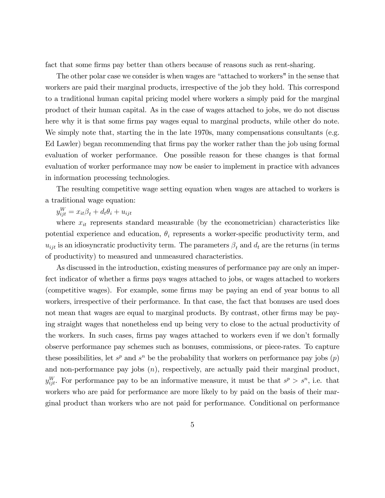fact that some firms pay better than others because of reasons such as rent-sharing.

The other polar case we consider is when wages are "attached to workers" in the sense that workers are paid their marginal products, irrespective of the job they hold. This correspond to a traditional human capital pricing model where workers a simply paid for the marginal product of their human capital. As in the case of wages attached to jobs, we do not discuss here why it is that some firms pay wages equal to marginal products, while other do note. We simply note that, starting the in the late 1970s, many compensations consultants (e.g. Ed Lawler) began recommending that firms pay the worker rather than the job using formal evaluation of worker performance. One possible reason for these changes is that formal evaluation of worker performance may now be easier to implement in practice with advances in information processing technologies.

The resulting competitive wage setting equation when wages are attached to workers is a traditional wage equation:

 $y_{ijt}^W = x_{it}\beta_t + d_t\theta_i + u_{ijt}$ 

where  $x_{it}$  represents standard measurable (by the econometrician) characteristics like potential experience and education,  $\theta_i$  represents a worker-specific productivity term, and  $u_{ijt}$  is an idiosyncratic productivity term. The parameters  $\beta_t$  and  $d_t$  are the returns (in terms of productivity) to measured and unmeasured characteristics.

As discussed in the introduction, existing measures of performance pay are only an imperfect indicator of whether a firms pays wages attached to jobs, or wages attached to workers (competitive wages). For example, some firms may be paying an end of year bonus to all workers, irrespective of their performance. In that case, the fact that bonuses are used does not mean that wages are equal to marginal products. By contrast, other firms may be paying straight wages that nonetheless end up being very to close to the actual productivity of the workers. In such cases, firms pay wages attached to workers even if we don't formally observe performance pay schemes such as bonuses, commissions, or piece-rates. To capture these possibilities, let  $s^p$  and  $s^n$  be the probability that workers on performance pay jobs  $(p)$ and non-performance pay jobs  $(n)$ , respectively, are actually paid their marginal product,  $y_{ijt}^W$ . For performance pay to be an informative measure, it must be that  $s^p > s^n$ , i.e. that workers who are paid for performance are more likely to by paid on the basis of their marginal product than workers who are not paid for performance. Conditional on performance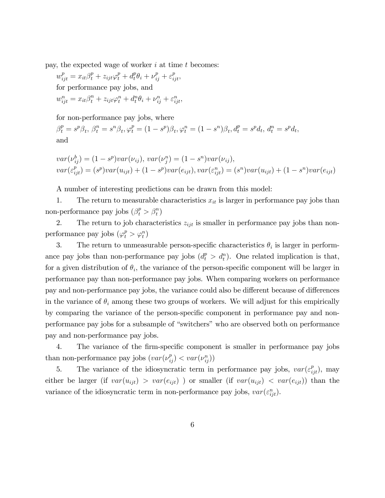pay, the expected wage of worker  $i$  at time  $t$  becomes:

$$
w_{ijt}^p = x_{it}\beta_t^p + z_{ijt}\varphi_t^p + d_t^p\theta_i + \nu_{ij}^p + \varepsilon_{ijt}^p,
$$
  
for performance pay jobs, and  

$$
w_{ijt}^n = x_{it}\beta_t^n + z_{ijt}\varphi_t^n + d_t^n\theta_i + \nu_{ij}^n + \varepsilon_{ijt}^n,
$$

for non-performance pay jobs, where

 $\beta_t^p = s^p \beta_t, \ \beta_t^n = s^n \beta_t, \varphi_t^p = (1 - s^p) \beta_t, \varphi_t^n = (1 - s^n) \beta_t, d_t^p = s^p d_t, d_t^n = s^p d_t,$ and

$$
var(\nu_{ij}^b) = (1 - s^p)var(\nu_{ij}), var(\nu_{ij}^n) = (1 - s^p)var(\nu_{ij}),
$$
  

$$
var(\varepsilon_{ijt}^p) = (s^p)var(u_{ijt}) + (1 - s^p)var(e_{ijt}), var(\varepsilon_{ijt}^n) = (s^p)var(u_{ijt}) + (1 - s^p)var(e_{ijt})
$$

A number of interesting predictions can be drawn from this model:

1. The return to measurable characteristics  $x_{it}$  is larger in performance pay jobs than non-performance pay jobs  $(\beta_t^p > \beta_t^n)$ 

2. The return to job characteristics  $z_{ijt}$  is smaller in performance pay jobs than nonperformance pay jobs  $(\varphi_t^p > \varphi_t^n)$ 

3. The return to unmeasurable person-specific characteristics  $\theta_i$  is larger in performance pay jobs than non-performance pay jobs  $(d_t^p > d_t^n)$ . One related implication is that, for a given distribution of  $\theta_i$ , the variance of the person-specific component will be larger in performance pay than non-performance pay jobs. When comparing workers on performance pay and non-performance pay jobs, the variance could also be different because of differences in the variance of  $\theta_i$  among these two groups of workers. We will adjust for this empirically by comparing the variance of the person-specific component in performance pay and nonperformance pay jobs for a subsample of "switchers" who are observed both on performance pay and non-performance pay jobs.

4. The variance of the firm-specific component is smaller in performance pay jobs than non-performance pay jobs  $(var(\nu_{ij}^p) < var(\nu_{ij}^n))$ 

5. The variance of the idiosyncratic term in performance pay jobs,  $var(\varepsilon_{ijt}^p)$ , may either be larger (if  $var(u_{ijt}) > var(e_{ijt})$ ) or smaller (if  $var(u_{ijt}) < var(e_{ijt})$ ) than the variance of the idiosyncratic term in non-performance pay jobs,  $var(\varepsilon_{ijt}^n)$ .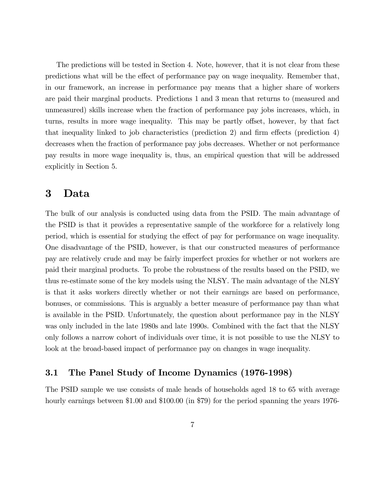The predictions will be tested in Section 4. Note, however, that it is not clear from these predictions what will be the effect of performance pay on wage inequality. Remember that, in our framework, an increase in performance pay means that a higher share of workers are paid their marginal products. Predictions 1 and 3 mean that returns to (measured and unmeasured) skills increase when the fraction of performance pay jobs increases, which, in turns, results in more wage inequality. This may be partly offset, however, by that fact that inequality linked to job characteristics (prediction 2) and firm effects (prediction 4) decreases when the fraction of performance pay jobs decreases. Whether or not performance pay results in more wage inequality is, thus, an empirical question that will be addressed explicitly in Section 5.

## 3 Data

The bulk of our analysis is conducted using data from the PSID. The main advantage of the PSID is that it provides a representative sample of the workforce for a relatively long period, which is essential for studying the effect of pay for performance on wage inequality. One disadvantage of the PSID, however, is that our constructed measures of performance pay are relatively crude and may be fairly imperfect proxies for whether or not workers are paid their marginal products. To probe the robustness of the results based on the PSID, we thus re-estimate some of the key models using the NLSY. The main advantage of the NLSY is that it asks workers directly whether or not their earnings are based on performance, bonuses, or commissions. This is arguably a better measure of performance pay than what is available in the PSID. Unfortunately, the question about performance pay in the NLSY was only included in the late 1980s and late 1990s. Combined with the fact that the NLSY only follows a narrow cohort of individuals over time, it is not possible to use the NLSY to look at the broad-based impact of performance pay on changes in wage inequality.

### 3.1 The Panel Study of Income Dynamics (1976-1998)

The PSID sample we use consists of male heads of households aged 18 to 65 with average hourly earnings between \$1.00 and \$100.00 (in \$79) for the period spanning the years 1976-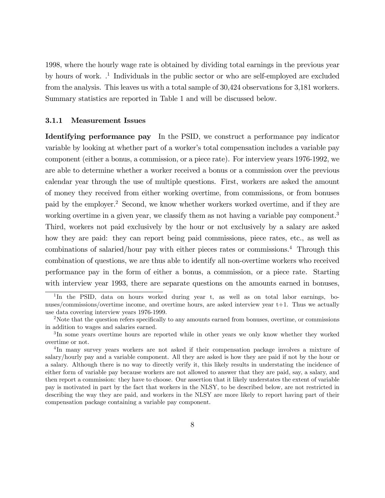1998, where the hourly wage rate is obtained by dividing total earnings in the previous year by hours of work. .<sup>1</sup> Individuals in the public sector or who are self-employed are excluded from the analysis. This leaves us with a total sample of 30,424 observations for 3,181 workers. Summary statistics are reported in Table 1 and will be discussed below.

#### 3.1.1 Measurement Issues

Identifying performance pay In the PSID, we construct a performance pay indicator variable by looking at whether part of a worker's total compensation includes a variable pay component (either a bonus, a commission, or a piece rate). For interview years 1976-1992, we are able to determine whether a worker received a bonus or a commission over the previous calendar year through the use of multiple questions. First, workers are asked the amount of money they received from either working overtime, from commissions, or from bonuses paid by the employer.<sup>2</sup> Second, we know whether workers worked overtime, and if they are working overtime in a given year, we classify them as not having a variable pay component.<sup>3</sup> Third, workers not paid exclusively by the hour or not exclusively by a salary are asked how they are paid: they can report being paid commissions, piece rates, etc., as well as combinations of salaried/hour pay with either pieces rates or commissions.<sup>4</sup> Through this combination of questions, we are thus able to identify all non-overtime workers who received performance pay in the form of either a bonus, a commission, or a piece rate. Starting with interview year 1993, there are separate questions on the amounts earned in bonuses,

<sup>&</sup>lt;sup>1</sup>In the PSID, data on hours worked during year t, as well as on total labor earnings, bonuses/commissions/overtime income, and overtime hours, are asked interview year t+1. Thus we actually use data covering interview years 1976-1999.

<sup>&</sup>lt;sup>2</sup>Note that the question refers specifically to any amounts earned from bonuses, overtime, or commissions in addition to wages and salaries earned.

<sup>&</sup>lt;sup>3</sup>In some years overtime hours are reported while in other years we only know whether they worked overtime or not.

<sup>&</sup>lt;sup>4</sup>In many survey years workers are not asked if their compensation package involves a mixture of salary/hourly pay and a variable component. All they are asked is how they are paid if not by the hour or a salary. Although there is no way to directly verify it, this likely results in understating the incidence of either form of variable pay because workers are not allowed to answer that they are paid, say, a salary, and then report a commission: they have to choose. Our assertion that it likely understates the extent of variable pay is motivated in part by the fact that workers in the NLSY, to be described below, are not restricted in describing the way they are paid, and workers in the NLSY are more likely to report having part of their compensation package containing a variable pay component.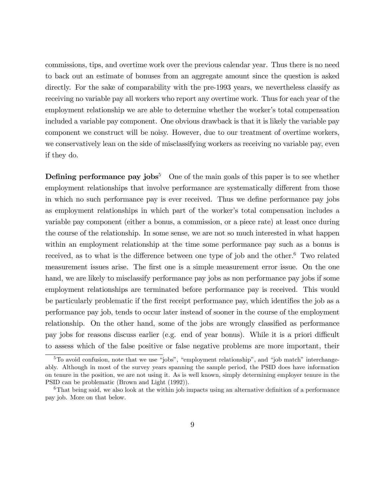commissions, tips, and overtime work over the previous calendar year. Thus there is no need to back out an estimate of bonuses from an aggregate amount since the question is asked directly. For the sake of comparability with the pre-1993 years, we nevertheless classify as receiving no variable pay all workers who report any overtime work. Thus for each year of the employment relationship we are able to determine whether the worker's total compensation included a variable pay component. One obvious drawback is that it is likely the variable pay component we construct will be noisy. However, due to our treatment of overtime workers, we conservatively lean on the side of misclassifying workers as receiving no variable pay, even if they do.

**Defining performance pay jobs**<sup>5</sup> One of the main goals of this paper is to see whether employment relationships that involve performance are systematically different from those in which no such performance pay is ever received. Thus we define performance pay jobs as employment relationships in which part of the worker's total compensation includes a variable pay component (either a bonus, a commission, or a piece rate) at least once during the course of the relationship. In some sense, we are not so much interested in what happen within an employment relationship at the time some performance pay such as a bonus is received, as to what is the difference between one type of job and the other. $6$  Two related measurement issues arise. The first one is a simple measurement error issue. On the one hand, we are likely to misclassify performance pay jobs as non performance pay jobs if some employment relationships are terminated before performance pay is received. This would be particularly problematic if the first receipt performance pay, which identifies the job as a performance pay job, tends to occur later instead of sooner in the course of the employment relationship. On the other hand, some of the jobs are wrongly classified as performance pay jobs for reasons discuss earlier (e.g. end of year bonus). While it is a priori difficult to assess which of the false positive or false negative problems are more important, their

 $5T$ o avoid confusion, note that we use "jobs", "employment relationship", and "job match" interchangeably. Although in most of the survey years spanning the sample period, the PSID does have information on tenure in the position, we are not using it. As is well known, simply determining employer tenure in the PSID can be problematic (Brown and Light (1992)).

 $6$ That being said, we also look at the within job impacts using an alternative definition of a performance pay job. More on that below.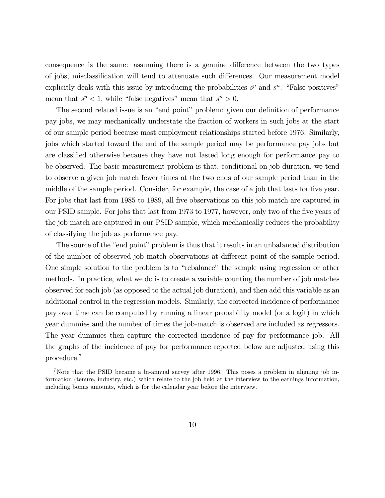consequence is the same: assuming there is a genuine difference between the two types of jobs, misclassification will tend to attenuate such differences. Our measurement model explicitly deals with this issue by introducing the probabilities  $s^p$  and  $s^n$ . "False positives" mean that  $s^p < 1$ , while "false negatives" mean that  $s^n > 0$ .

The second related issue is an "end point" problem: given our definition of performance pay jobs, we may mechanically understate the fraction of workers in such jobs at the start of our sample period because most employment relationships started before 1976. Similarly, jobs which started toward the end of the sample period may be performance pay jobs but are classified otherwise because they have not lasted long enough for performance pay to be observed. The basic measurement problem is that, conditional on job duration, we tend to observe a given job match fewer times at the two ends of our sample period than in the middle of the sample period. Consider, for example, the case of a job that lasts for five year. For jobs that last from 1985 to 1989, all five observations on this job match are captured in our PSID sample. For jobs that last from 1973 to 1977, however, only two of the five years of the job match are captured in our PSID sample, which mechanically reduces the probability of classifying the job as performance pay.

The source of the "end point" problem is thus that it results in an unbalanced distribution of the number of observed job match observations at different point of the sample period. One simple solution to the problem is to "rebalance" the sample using regression or other methods. In practice, what we do is to create a variable counting the number of job matches observed for each job (as opposed to the actual job duration), and then add this variable as an additional control in the regression models. Similarly, the corrected incidence of performance pay over time can be computed by running a linear probability model (or a logit) in which year dummies and the number of times the job-match is observed are included as regressors. The year dummies then capture the corrected incidence of pay for performance job. All the graphs of the incidence of pay for performance reported below are adjusted using this procedure.<sup>7</sup>

<sup>7</sup>Note that the PSID became a bi-annual survey after 1996. This poses a problem in aligning job information (tenure, industry, etc.) which relate to the job held at the interview to the earnings information, including bonus amounts, which is for the calendar year before the interview.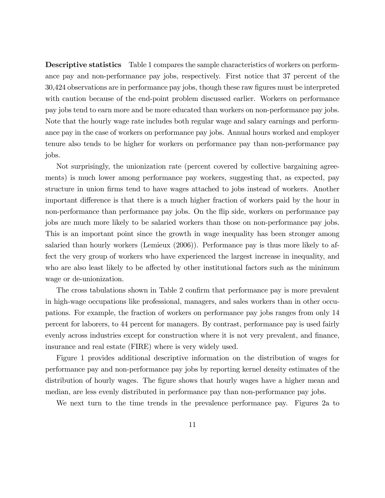Descriptive statistics Table 1 compares the sample characteristics of workers on performance pay and non-performance pay jobs, respectively. First notice that 37 percent of the 30,424 observations are in performance pay jobs, though these raw Ögures must be interpreted with caution because of the end-point problem discussed earlier. Workers on performance pay jobs tend to earn more and be more educated than workers on non-performance pay jobs. Note that the hourly wage rate includes both regular wage and salary earnings and performance pay in the case of workers on performance pay jobs. Annual hours worked and employer tenure also tends to be higher for workers on performance pay than non-performance pay jobs.

Not surprisingly, the unionization rate (percent covered by collective bargaining agreements) is much lower among performance pay workers, suggesting that, as expected, pay structure in union Örms tend to have wages attached to jobs instead of workers. Another important difference is that there is a much higher fraction of workers paid by the hour in non-performance than performance pay jobs. On the áip side, workers on performance pay jobs are much more likely to be salaried workers than those on non-performance pay jobs. This is an important point since the growth in wage inequality has been stronger among salaried than hourly workers (Lemieux (2006)). Performance pay is thus more likely to affect the very group of workers who have experienced the largest increase in inequality, and who are also least likely to be affected by other institutional factors such as the minimum wage or de-unionization.

The cross tabulations shown in Table 2 confirm that performance pay is more prevalent in high-wage occupations like professional, managers, and sales workers than in other occupations. For example, the fraction of workers on performance pay jobs ranges from only 14 percent for laborers, to 44 percent for managers. By contrast, performance pay is used fairly evenly across industries except for construction where it is not very prevalent, and finance, insurance and real estate (FIRE) where is very widely used.

Figure 1 provides additional descriptive information on the distribution of wages for performance pay and non-performance pay jobs by reporting kernel density estimates of the distribution of hourly wages. The figure shows that hourly wages have a higher mean and median, are less evenly distributed in performance pay than non-performance pay jobs.

We next turn to the time trends in the prevalence performance pay. Figures 2a to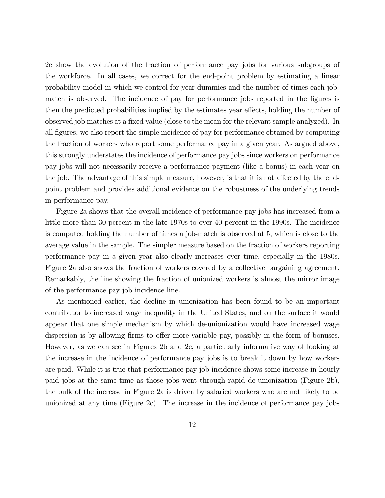2e show the evolution of the fraction of performance pay jobs for various subgroups of the workforce. In all cases, we correct for the end-point problem by estimating a linear probability model in which we control for year dummies and the number of times each jobmatch is observed. The incidence of pay for performance jobs reported in the figures is then the predicted probabilities implied by the estimates year effects, holding the number of observed job matches at a fixed value (close to the mean for the relevant sample analyzed). In all figures, we also report the simple incidence of pay for performance obtained by computing the fraction of workers who report some performance pay in a given year. As argued above, this strongly understates the incidence of performance pay jobs since workers on performance pay jobs will not necessarily receive a performance payment (like a bonus) in each year on the job. The advantage of this simple measure, however, is that it is not affected by the endpoint problem and provides additional evidence on the robustness of the underlying trends in performance pay.

Figure 2a shows that the overall incidence of performance pay jobs has increased from a little more than 30 percent in the late 1970s to over 40 percent in the 1990s. The incidence is computed holding the number of times a job-match is observed at 5, which is close to the average value in the sample. The simpler measure based on the fraction of workers reporting performance pay in a given year also clearly increases over time, especially in the 1980s. Figure 2a also shows the fraction of workers covered by a collective bargaining agreement. Remarkably, the line showing the fraction of unionized workers is almost the mirror image of the performance pay job incidence line.

As mentioned earlier, the decline in unionization has been found to be an important contributor to increased wage inequality in the United States, and on the surface it would appear that one simple mechanism by which de-unionization would have increased wage dispersion is by allowing firms to offer more variable pay, possibly in the form of bonuses. However, as we can see in Figures 2b and 2c, a particularly informative way of looking at the increase in the incidence of performance pay jobs is to break it down by how workers are paid. While it is true that performance pay job incidence shows some increase in hourly paid jobs at the same time as those jobs went through rapid de-unionization (Figure 2b), the bulk of the increase in Figure 2a is driven by salaried workers who are not likely to be unionized at any time (Figure 2c). The increase in the incidence of performance pay jobs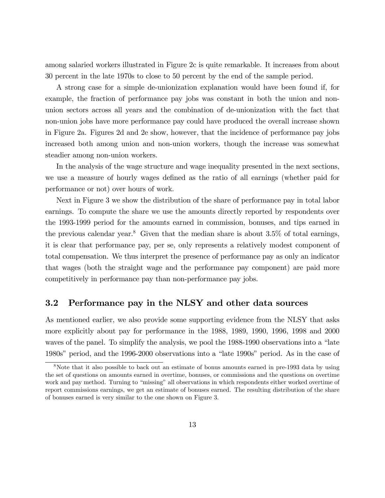among salaried workers illustrated in Figure 2c is quite remarkable. It increases from about 30 percent in the late 1970s to close to 50 percent by the end of the sample period.

A strong case for a simple de-unionization explanation would have been found if, for example, the fraction of performance pay jobs was constant in both the union and nonunion sectors across all years and the combination of de-unionization with the fact that non-union jobs have more performance pay could have produced the overall increase shown in Figure 2a. Figures 2d and 2e show, however, that the incidence of performance pay jobs increased both among union and non-union workers, though the increase was somewhat steadier among non-union workers.

In the analysis of the wage structure and wage inequality presented in the next sections, we use a measure of hourly wages defined as the ratio of all earnings (whether paid for performance or not) over hours of work.

Next in Figure 3 we show the distribution of the share of performance pay in total labor earnings. To compute the share we use the amounts directly reported by respondents over the 1993-1999 period for the amounts earned in commission, bonuses, and tips earned in the previous calendar year.<sup>8</sup> Given that the median share is about  $3.5\%$  of total earnings, it is clear that performance pay, per se, only represents a relatively modest component of total compensation. We thus interpret the presence of performance pay as only an indicator that wages (both the straight wage and the performance pay component) are paid more competitively in performance pay than non-performance pay jobs.

#### 3.2 Performance pay in the NLSY and other data sources

As mentioned earlier, we also provide some supporting evidence from the NLSY that asks more explicitly about pay for performance in the 1988, 1989, 1990, 1996, 1998 and 2000 waves of the panel. To simplify the analysis, we pool the 1988-1990 observations into a "late 1980s" period, and the 1996-2000 observations into a "late 1990s" period. As in the case of

<sup>&</sup>lt;sup>8</sup>Note that it also possible to back out an estimate of bonus amounts earned in pre-1993 data by using the set of questions on amounts earned in overtime, bonuses, or commissions and the questions on overtime work and pay method. Turning to "missing" all observations in which respondents either worked overtime of report commissions earnings, we get an estimate of bonuses earned. The resulting distribution of the share of bonuses earned is very similar to the one shown on Figure 3.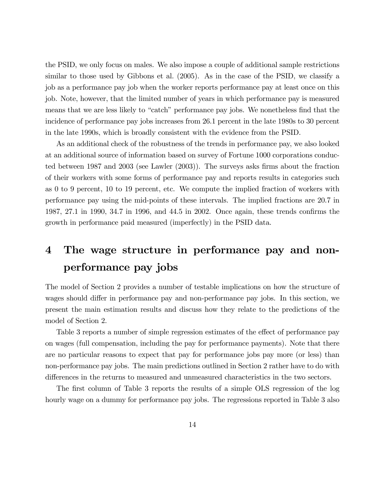the PSID, we only focus on males. We also impose a couple of additional sample restrictions similar to those used by Gibbons et al. (2005). As in the case of the PSID, we classify a job as a performance pay job when the worker reports performance pay at least once on this job. Note, however, that the limited number of years in which performance pay is measured means that we are less likely to "catch" performance pay jobs. We nonetheless find that the incidence of performance pay jobs increases from 26.1 percent in the late 1980s to 30 percent in the late 1990s, which is broadly consistent with the evidence from the PSID.

As an additional check of the robustness of the trends in performance pay, we also looked at an additional source of information based on survey of Fortune 1000 corporations conducted between 1987 and 2003 (see Lawler (2003)). The surveys asks firms about the fraction of their workers with some forms of performance pay and reports results in categories such as 0 to 9 percent, 10 to 19 percent, etc. We compute the implied fraction of workers with performance pay using the mid-points of these intervals. The implied fractions are 20.7 in 1987, 27.1 in 1990, 34.7 in 1996, and 44.5 in 2002. Once again, these trends confirms the growth in performance paid measured (imperfectly) in the PSID data.

## 4 The wage structure in performance pay and nonperformance pay jobs

The model of Section 2 provides a number of testable implications on how the structure of wages should differ in performance pay and non-performance pay jobs. In this section, we present the main estimation results and discuss how they relate to the predictions of the model of Section 2.

Table 3 reports a number of simple regression estimates of the effect of performance pay on wages (full compensation, including the pay for performance payments). Note that there are no particular reasons to expect that pay for performance jobs pay more (or less) than non-performance pay jobs. The main predictions outlined in Section 2 rather have to do with differences in the returns to measured and unmeasured characteristics in the two sectors.

The first column of Table 3 reports the results of a simple OLS regression of the log hourly wage on a dummy for performance pay jobs. The regressions reported in Table 3 also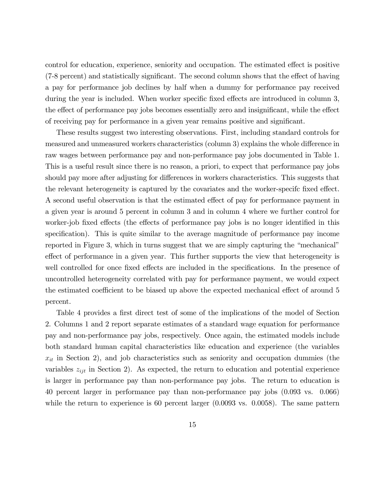control for education, experience, seniority and occupation. The estimated effect is positive  $(7-8$  percent) and statistically significant. The second column shows that the effect of having a pay for performance job declines by half when a dummy for performance pay received during the year is included. When worker specific fixed effects are introduced in column 3, the effect of performance pay jobs becomes essentially zero and insignificant, while the effect of receiving pay for performance in a given year remains positive and significant.

These results suggest two interesting observations. First, including standard controls for measured and unmeasured workers characteristics (column 3) explains the whole difference in raw wages between performance pay and non-performance pay jobs documented in Table 1. This is a useful result since there is no reason, a priori, to expect that performance pay jobs should pay more after adjusting for differences in workers characteristics. This suggests that the relevant heterogeneity is captured by the covariates and the worker-specifc fixed effect. A second useful observation is that the estimated effect of pay for performance payment in a given year is around 5 percent in column 3 and in column 4 where we further control for worker-job fixed effects (the effects of performance pay jobs is no longer identified in this specification). This is quite similar to the average magnitude of performance pay income reported in Figure 3, which in turns suggest that we are simply capturing the "mechanical" effect of performance in a given year. This further supports the view that heterogeneity is well controlled for once fixed effects are included in the specifications. In the presence of uncontrolled heterogeneity correlated with pay for performance payment, we would expect the estimated coefficient to be biased up above the expected mechanical effect of around 5 percent.

Table 4 provides a first direct test of some of the implications of the model of Section 2. Columns 1 and 2 report separate estimates of a standard wage equation for performance pay and non-performance pay jobs, respectively. Once again, the estimated models include both standard human capital characteristics like education and experience (the variables  $x_{it}$  in Section 2), and job characteristics such as seniority and occupation dummies (the variables  $z_{ijt}$  in Section 2). As expected, the return to education and potential experience is larger in performance pay than non-performance pay jobs. The return to education is 40 percent larger in performance pay than non-performance pay jobs (0.093 vs. 0.066) while the return to experience is 60 percent larger  $(0.0093 \text{ vs. } 0.0058)$ . The same pattern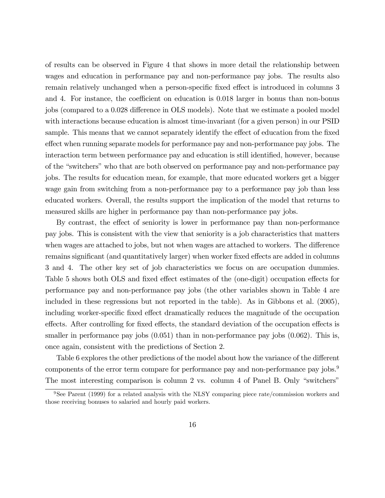of results can be observed in Figure 4 that shows in more detail the relationship between wages and education in performance pay and non-performance pay jobs. The results also remain relatively unchanged when a person-specific fixed effect is introduced in columns 3 and 4. For instance, the coefficient on education is  $0.018$  larger in bonus than non-bonus jobs (compared to a 0.028 difference in OLS models). Note that we estimate a pooled model with interactions because education is almost time-invariant (for a given person) in our PSID sample. This means that we cannot separately identify the effect of education from the fixed effect when running separate models for performance pay and non-performance pay jobs. The interaction term between performance pay and education is still identified, however, because of the "switchers" who that are both observed on performance pay and non-performance pay jobs. The results for education mean, for example, that more educated workers get a bigger wage gain from switching from a non-performance pay to a performance pay job than less educated workers. Overall, the results support the implication of the model that returns to measured skills are higher in performance pay than non-performance pay jobs.

By contrast, the effect of seniority is lower in performance pay than non-performance pay jobs. This is consistent with the view that seniority is a job characteristics that matters when wages are attached to jobs, but not when wages are attached to workers. The difference remains significant (and quantitatively larger) when worker fixed effects are added in columns 3 and 4. The other key set of job characteristics we focus on are occupation dummies. Table 5 shows both OLS and fixed effect estimates of the (one-digit) occupation effects for performance pay and non-performance pay jobs (the other variables shown in Table 4 are included in these regressions but not reported in the table). As in Gibbons et al. (2005), including worker-specific fixed effect dramatically reduces the magnitude of the occupation effects. After controlling for fixed effects, the standard deviation of the occupation effects is smaller in performance pay jobs  $(0.051)$  than in non-performance pay jobs  $(0.062)$ . This is, once again, consistent with the predictions of Section 2.

Table 6 explores the other predictions of the model about how the variance of the different components of the error term compare for performance pay and non-performance pay jobs.<sup>9</sup> The most interesting comparison is column 2 vs. column 4 of Panel B. Only "switchers"

<sup>&</sup>lt;sup>9</sup>See Parent (1999) for a related analysis with the NLSY comparing piece rate/commission workers and those receiving bonuses to salaried and hourly paid workers.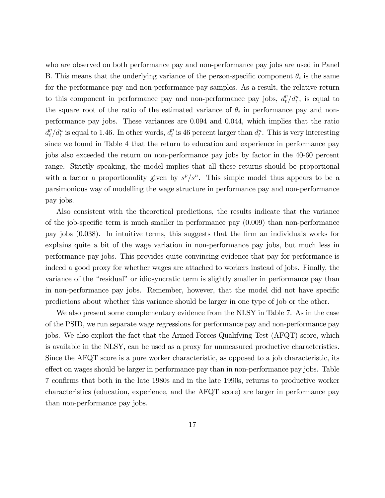who are observed on both performance pay and non-performance pay jobs are used in Panel B. This means that the underlying variance of the person-specific component  $\theta_i$  is the same for the performance pay and non-performance pay samples. As a result, the relative return to this component in performance pay and non-performance pay jobs,  $d_t^p/d_t^n$ , is equal to the square root of the ratio of the estimated variance of  $\theta_i$  in performance pay and nonperformance pay jobs. These variances are 0.094 and 0.044, which implies that the ratio  $d_t^p/d_t^n$  is equal to 1.46. In other words,  $d_t^p$  $t_t^p$  is 46 percent larger than  $d_t^n$ . This is very interesting since we found in Table 4 that the return to education and experience in performance pay jobs also exceeded the return on non-performance pay jobs by factor in the 40-60 percent range. Strictly speaking, the model implies that all these returns should be proportional with a factor a proportionality given by  $s^p/s^n$ . This simple model thus appears to be a parsimonious way of modelling the wage structure in performance pay and non-performance pay jobs.

Also consistent with the theoretical predictions, the results indicate that the variance of the job-specific term is much smaller in performance pay  $(0.009)$  than non-performance pay jobs (0.038). In intuitive terms, this suggests that the Örm an individuals works for explains quite a bit of the wage variation in non-performance pay jobs, but much less in performance pay jobs. This provides quite convincing evidence that pay for performance is indeed a good proxy for whether wages are attached to workers instead of jobs. Finally, the variance of the "residual" or idiosyncratic term is slightly smaller in performance pay than in non-performance pay jobs. Remember, however, that the model did not have specific predictions about whether this variance should be larger in one type of job or the other.

We also present some complementary evidence from the NLSY in Table 7. As in the case of the PSID, we run separate wage regressions for performance pay and non-performance pay jobs. We also exploit the fact that the Armed Forces Qualifying Test (AFQT) score, which is available in the NLSY, can be used as a proxy for unmeasured productive characteristics. Since the AFQT score is a pure worker characteristic, as opposed to a job characteristic, its effect on wages should be larger in performance pay than in non-performance pay jobs. Table 7 confirms that both in the late 1980s and in the late 1990s, returns to productive worker characteristics (education, experience, and the AFQT score) are larger in performance pay than non-performance pay jobs.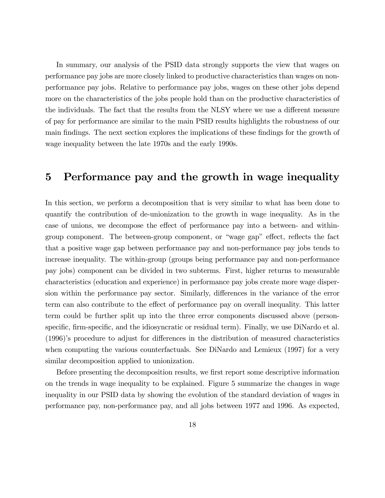In summary, our analysis of the PSID data strongly supports the view that wages on performance pay jobs are more closely linked to productive characteristics than wages on nonperformance pay jobs. Relative to performance pay jobs, wages on these other jobs depend more on the characteristics of the jobs people hold than on the productive characteristics of the individuals. The fact that the results from the NLSY where we use a different measure of pay for performance are similar to the main PSID results highlights the robustness of our main findings. The next section explores the implications of these findings for the growth of wage inequality between the late 1970s and the early 1990s.

## 5 Performance pay and the growth in wage inequality

In this section, we perform a decomposition that is very similar to what has been done to quantify the contribution of de-unionization to the growth in wage inequality. As in the case of unions, we decompose the effect of performance pay into a between- and withingroup component. The between-group component, or "wage gap" effect, reflects the fact that a positive wage gap between performance pay and non-performance pay jobs tends to increase inequality. The within-group (groups being performance pay and non-performance pay jobs) component can be divided in two subterms. First, higher returns to measurable characteristics (education and experience) in performance pay jobs create more wage dispersion within the performance pay sector. Similarly, differences in the variance of the error term can also contribute to the effect of performance pay on overall inequality. This latter term could be further split up into the three error components discussed above (personspecific, firm-specific, and the idiosyncratic or residual term). Finally, we use DiNardo et al.  $(1996)$ 's procedure to adjust for differences in the distribution of measured characteristics when computing the various counterfactuals. See DiNardo and Lemieux (1997) for a very similar decomposition applied to unionization.

Before presenting the decomposition results, we first report some descriptive information on the trends in wage inequality to be explained. Figure 5 summarize the changes in wage inequality in our PSID data by showing the evolution of the standard deviation of wages in performance pay, non-performance pay, and all jobs between 1977 and 1996. As expected,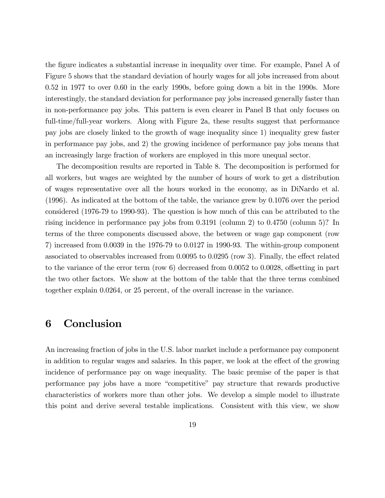the figure indicates a substantial increase in inequality over time. For example, Panel A of Figure 5 shows that the standard deviation of hourly wages for all jobs increased from about 0.52 in 1977 to over 0.60 in the early 1990s, before going down a bit in the 1990s. More interestingly, the standard deviation for performance pay jobs increased generally faster than in non-performance pay jobs. This pattern is even clearer in Panel B that only focuses on full-time/full-year workers. Along with Figure 2a, these results suggest that performance pay jobs are closely linked to the growth of wage inequality since 1) inequality grew faster in performance pay jobs, and 2) the growing incidence of performance pay jobs means that an increasingly large fraction of workers are employed in this more unequal sector.

The decomposition results are reported in Table 8. The decomposition is performed for all workers, but wages are weighted by the number of hours of work to get a distribution of wages representative over all the hours worked in the economy, as in DiNardo et al. (1996). As indicated at the bottom of the table, the variance grew by 0.1076 over the period considered (1976-79 to 1990-93). The question is how much of this can be attributed to the rising incidence in performance pay jobs from 0.3191 (column 2) to 0.4750 (column 5)? In terms of the three components discussed above, the between or wage gap component (row 7) increased from 0.0039 in the 1976-79 to 0.0127 in 1990-93. The within-group component associated to observables increased from  $0.0095$  to  $0.0295$  (row 3). Finally, the effect related to the variance of the error term (row  $6)$ ) decreased from 0.0052 to 0.0028, offsetting in part the two other factors. We show at the bottom of the table that the three terms combined together explain 0.0264, or 25 percent, of the overall increase in the variance.

## 6 Conclusion

An increasing fraction of jobs in the U.S. labor market include a performance pay component in addition to regular wages and salaries. In this paper, we look at the effect of the growing incidence of performance pay on wage inequality. The basic premise of the paper is that performance pay jobs have a more "competitive" pay structure that rewards productive characteristics of workers more than other jobs. We develop a simple model to illustrate this point and derive several testable implications. Consistent with this view, we show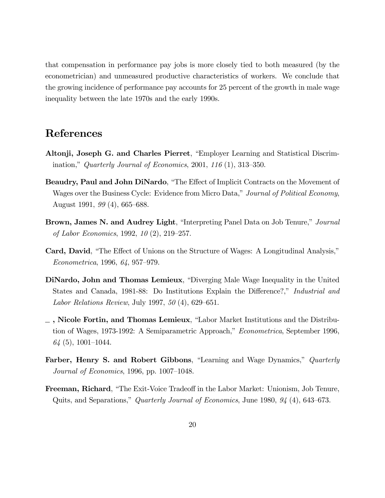that compensation in performance pay jobs is more closely tied to both measured (by the econometrician) and unmeasured productive characteristics of workers. We conclude that the growing incidence of performance pay accounts for 25 percent of the growth in male wage inequality between the late 1970s and the early 1990s.

## References

- Altonji, Joseph G. and Charles Pierret, "Employer Learning and Statistical Discrimination," Quarterly Journal of Economics, 2001, 116  $(1)$ , 313–350.
- Beaudry, Paul and John DiNardo, "The Effect of Implicit Contracts on the Movement of Wages over the Business Cycle: Evidence from Micro Data," Journal of Political Economy, August 1991,  $99(4)$ , 665–688.
- Brown, James N. and Audrey Light, "Interpreting Panel Data on Job Tenure," Journal of Labor Economics, 1992, 10 (2), 219-257.
- Card, David, "The Effect of Unions on the Structure of Wages: A Longitudinal Analysis,"  $Econometrica, 1996, 64, 957-979.$
- DiNardo, John and Thomas Lemieux, "Diverging Male Wage Inequality in the United States and Canada, 1981-88: Do Institutions Explain the Difference?," Industrial and Labor Relations Review, July 1997,  $50(4)$ , 629–651.
- $\Box$ , Nicole Fortin, and Thomas Lemieux, "Labor Market Institutions and the Distribution of Wages, 1973-1992: A Semiparametric Approach," Econometrica, September 1996,  $64$  (5), 1001–1044.
- Farber, Henry S. and Robert Gibbons, "Learning and Wage Dynamics," Quarterly Journal of Economics, 1996, pp.  $1007-1048$ .
- **Freeman, Richard**, "The Exit-Voice Tradeoff in the Labor Market: Unionism, Job Tenure, Quits, and Separations," Quarterly Journal of Economics, June 1980,  $94$  (4), 643–673.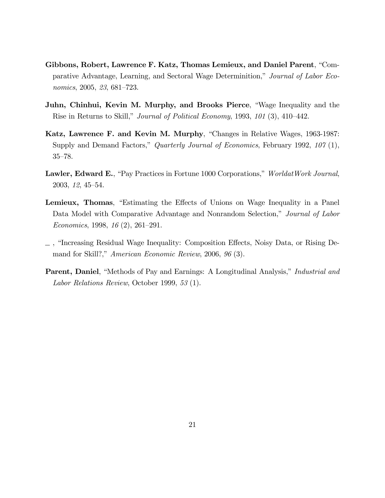- Gibbons, Robert, Lawrence F. Katz, Thomas Lemieux, and Daniel Parent, "Comparative Advantage, Learning, and Sectoral Wage Determinition," Journal of Labor Economics, 2005, 23, 681–723.
- Juhn, Chinhui, Kevin M. Murphy, and Brooks Pierce, "Wage Inequality and the Rise in Returns to Skill," *Journal of Political Economy*, 1993,  $101$  (3), 410–442.
- Katz, Lawrence F. and Kevin M. Murphy, "Changes in Relative Wages, 1963-1987: Supply and Demand Factors," Quarterly Journal of Economics, February 1992, 107 (1),  $35 - 78.$
- **Lawler, Edward E.**, "Pay Practices in Fortune 1000 Corporations," WorldatWork Journal, 2003, 12, 45-54.
- Lemieux, Thomas, "Estimating the Effects of Unions on Wage Inequality in a Panel Data Model with Comparative Advantage and Nonrandom Selection," Journal of Labor Economics, 1998, 16  $(2)$ , 261–291.
- $\Box$ , "Increasing Residual Wage Inequality: Composition Effects, Noisy Data, or Rising Demand for Skill?," American Economic Review, 2006, 96 (3).
- **Parent, Daniel**, "Methods of Pay and Earnings: A Longitudinal Analysis," *Industrial and* Labor Relations Review, October 1999, 53 (1).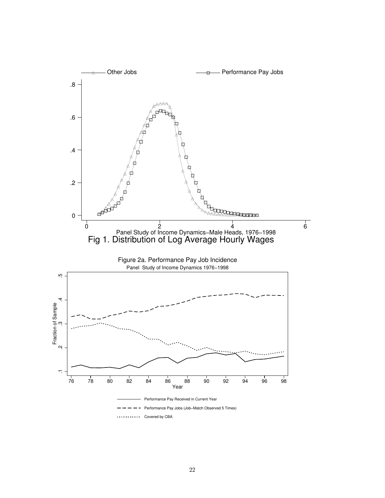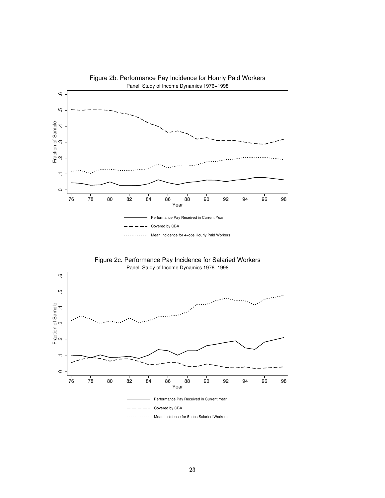

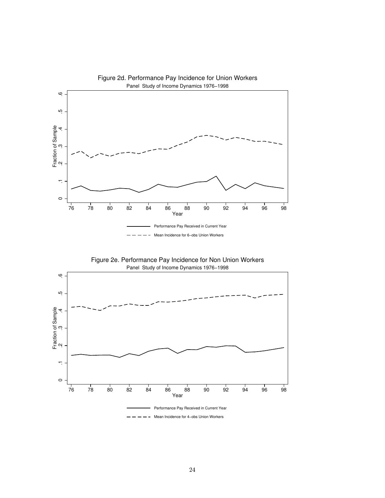



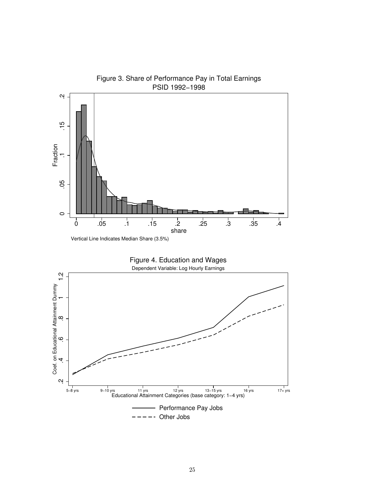

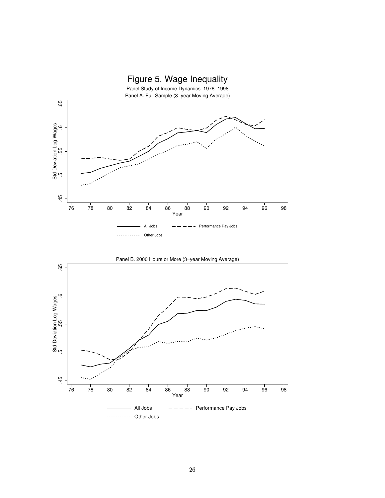

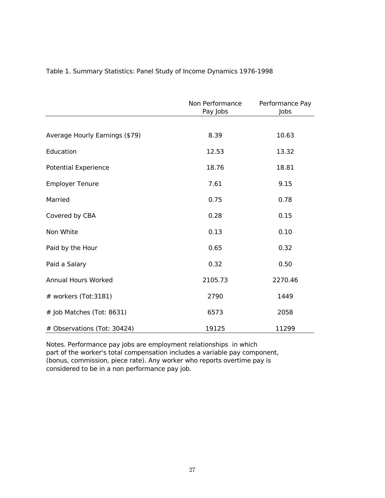|                                | Non Performance<br>Pay Jobs | Performance Pay<br>Jobs |
|--------------------------------|-----------------------------|-------------------------|
|                                |                             |                         |
| Average Hourly Earnings (\$79) | 8.39                        | 10.63                   |
| Education                      | 12.53                       | 13.32                   |
| <b>Potential Experience</b>    | 18.76                       | 18.81                   |
| <b>Employer Tenure</b>         | 7.61                        | 9.15                    |
| Married                        | 0.75                        | 0.78                    |
| Covered by CBA                 | 0.28                        | 0.15                    |
| Non White                      | 0.13                        | 0.10                    |
| Paid by the Hour               | 0.65                        | 0.32                    |
| Paid a Salary                  | 0.32                        | 0.50                    |
| <b>Annual Hours Worked</b>     | 2105.73                     | 2270.46                 |
| # workers (Tot:3181)           | 2790                        | 1449                    |
| # Job Matches (Tot: 8631)      | 6573                        | 2058                    |
| # Observations (Tot: 30424)    | 19125                       | 11299                   |

### Table 1. Summary Statistics: Panel Study of Income Dynamics 1976-1998

Notes. Performance pay jobs are employment relationships in which part of the worker's total compensation includes a variable pay component, (bonus, commission, piece rate). Any worker who reports overtime pay is considered to be in a non performance pay job.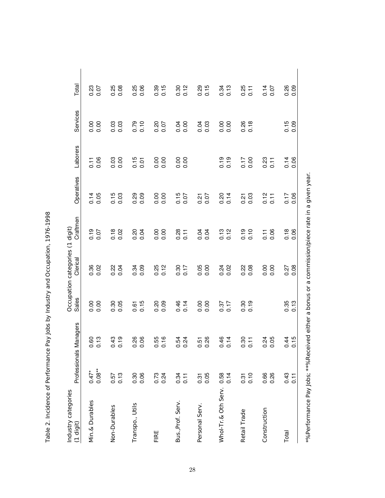| くくりくしく<br>$\frac{1}{2}$                                               |
|-----------------------------------------------------------------------|
|                                                                       |
|                                                                       |
|                                                                       |
|                                                                       |
|                                                                       |
| )<br>.                                                                |
| a of Performance Pay Indistry and Occupation<br>ゾニ In Internation テープ |
|                                                                       |
| isan<br>:<br>;                                                        |
| -<br>7<br>آ                                                           |

ءَ∟

| Industry categories<br>$(1$ digit) | Professionals       | Managers         | Sales                                       | Occupation categories (1 digit)<br>Clerical | Craftmen                  | Operatives   | Laborers         | Services         | Total            |
|------------------------------------|---------------------|------------------|---------------------------------------------|---------------------------------------------|---------------------------|--------------|------------------|------------------|------------------|
| Min.& Durables                     | $0.08**$<br>$0.47*$ | 0.13             | $\begin{matrix} 0.00 \\ 0.00 \end{matrix}$  | 0.36<br>0.02                                | 0.19<br>0.07              | 0.05<br>0.14 | $\frac{1}{0.06}$ |                  | 0.23<br>0.07     |
| Non-Durables                       | 0.13<br>0.57        | $0.43$<br>$0.19$ | 0.30<br>0.05                                | 0.24<br>0.04                                | 0.18<br>0.02              | 0.15<br>0.03 | 0.03             | 0.03             | $0.25$<br>0.08   |
| Transpo., Utils                    | 0.30<br>0.06        | 0.26<br>0.06     | $0.61$<br>$0.15$                            | 0.34<br>0.09                                | 0.20<br>0.04              | 0.29<br>0.09 | $0.15$<br>$0.01$ | 0.79<br>0.10     | 0.25<br>0.06     |
| FIRE                               | $0.73$<br>$0.24$    | $0.55$<br>$0.16$ | 0.20<br>0.09                                | $0.25$<br>$0.12$                            | 0.00<br>0.00              | 0.00<br>0.00 |                  | 0.20<br>0.07     | $0.39$<br>$0.15$ |
| Bus., Prof. Serv.                  | $0.34$<br>0.11      | 0.54<br>0.24     | 0.46<br>0.14                                | 0.30<br>0.17                                | 0.28<br>$\overline{0.11}$ | 0.15<br>0.07 |                  | 0.00<br>0.00     | 0.30<br>0.12     |
| Personal Serv.                     | 0.05<br>0.31        | 0.26<br>0.51     | $\begin{array}{c} 0.00 \\ 0.00 \end{array}$ | 0.05<br>0.00                                | 0.04<br>0.04              | 0.07<br>0.21 |                  | 0.03             | $0.29$<br>$0.15$ |
| Whol-Tr.& Oth Serv.                | $0.58$<br>0.14      | 0.14<br>0.14     | $0.37$<br>$0.17$                            | $0.24$<br>0.02                              | 0.13<br>0.12              | 0.20<br>0.14 | $0.19$<br>$0.19$ |                  | $0.34$<br>0.13   |
| Retail Trade                       | $0.31$<br>$0.10$    | 0.30<br>0.11     | $0.30$<br>$0.19$                            | 0.28                                        | 0.19<br>0.10              | 0.03<br>0.21 | 0.17<br>0.00     | 0.26<br>0.18     | $0.25$<br>$0.11$ |
| Construction                       | 0.66<br>0.26        | 0.24             |                                             | 0.00<br>0.00                                | 0.06<br>0.11              | 0.12<br>0.11 | $0.23$<br>$0.11$ |                  | 0.14<br>0.07     |
| Total                              | $0.11$<br>0.11      | 0.15<br>0.15     | $0.35$<br>$0.13$                            | $0.27$<br>$0.08$                            | 0.18<br>0.06              | 0.06<br>0.17 | 0.14             | $0.15$<br>$0.09$ | 0.26<br>0.09     |
|                                    |                     |                  |                                             |                                             |                           |              |                  |                  |                  |

\*%Performa nce Pa y Jobs; \*\*%Received either a pon a<br>Sus commission /piece ra te in given year.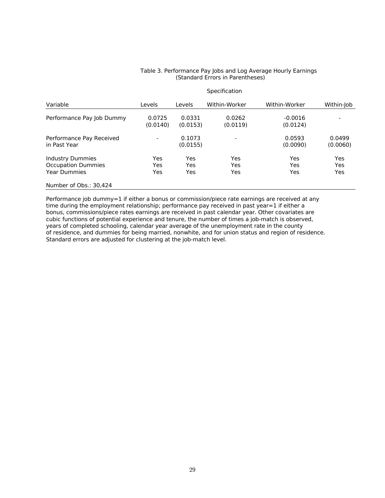#### Table 3. Performance Pay Jobs and Log Average Hourly Earnings (Standard Errors in Parentheses)

|                                                                      |                          |                    | Specification      |                       |                                 |
|----------------------------------------------------------------------|--------------------------|--------------------|--------------------|-----------------------|---------------------------------|
| Variable                                                             | Levels                   | Levels             | Within-Worker      | Within-Worker         | Within-Job                      |
| Performance Pay Job Dummy                                            | 0.0725<br>(0.0140)       | 0.0331<br>(0.0153) | 0.0262<br>(0.0119) | $-0.0016$<br>(0.0124) | ٠                               |
| Performance Pay Received<br>in Past Year                             | $\overline{\phantom{0}}$ | 0.1073<br>(0.0155) |                    | 0.0593<br>(0.0090)    | 0.0499<br>(0.0060)              |
| Industry Dummies<br><b>Occupation Dummies</b><br><b>Year Dummies</b> | Yes<br>Yes<br>Yes        | Yes<br>Yes<br>Yes  | Yes<br>Yes<br>Yes  | Yes<br>Yes<br>Yes     | <b>Yes</b><br><b>Yes</b><br>Yes |
| Number of Obs.: 30,424                                               |                          |                    |                    |                       |                                 |

Performance job dummy=1 if either a bonus or commission/piece rate earnings are received at any time during the employment relationship; performance pay received in past year=1 if either a bonus, commissions/piece rates earnings are received in past calendar year. Other covariates are cubic functions of potential experience and tenure, the number of times a job-match is observed, years of completed schooling, calendar year average of the unemployment rate in the county of residence, and dummies for being married, nonwhite, and for union status and region of residence. Standard errors are adjusted for clustering at the job-match level.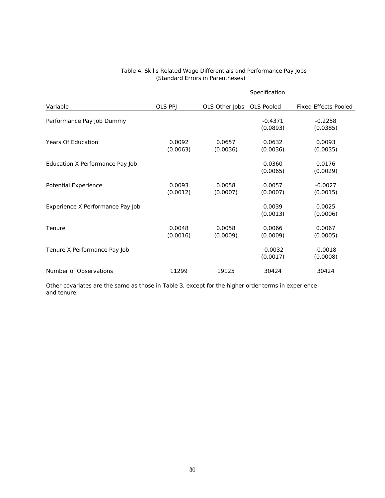| Table 4. Skills Related Wage Differentials and Performance Pay Jobs |
|---------------------------------------------------------------------|
| (Standard Errors in Parentheses)                                    |

|                                  |                    |                    | Specification         |                       |
|----------------------------------|--------------------|--------------------|-----------------------|-----------------------|
| Variable                         | OLS-PPJ            | OLS-Other Jobs     | OLS-Pooled            | Fixed-Effects-Pooled  |
| Performance Pay Job Dummy        |                    |                    | $-0.4371$<br>(0.0893) | $-0.2258$<br>(0.0385) |
| <b>Years Of Education</b>        | 0.0092<br>(0.0063) | 0.0657<br>(0.0036) | 0.0632<br>(0.0036)    | 0.0093<br>(0.0035)    |
| Education X Performance Pay Job  |                    |                    | 0.0360<br>(0.0065)    | 0.0176<br>(0.0029)    |
| <b>Potential Experience</b>      | 0.0093<br>(0.0012) | 0.0058<br>(0.0007) | 0.0057<br>(0.0007)    | $-0.0027$<br>(0.0015) |
| Experience X Performance Pay Job |                    |                    | 0.0039<br>(0.0013)    | 0.0025<br>(0.0006)    |
| Tenure                           | 0.0048<br>(0.0016) | 0.0058<br>(0.0009) | 0.0066<br>(0.0009)    | 0.0067<br>(0.0005)    |
| Tenure X Performance Pay Job     |                    |                    | $-0.0032$<br>(0.0017) | $-0.0018$<br>(0.0008) |
| Number of Observations           | 11299              | 19125              | 30424                 | 30424                 |

Other covariates are the same as those in Table 3, except for the higher order terms in experience and tenure.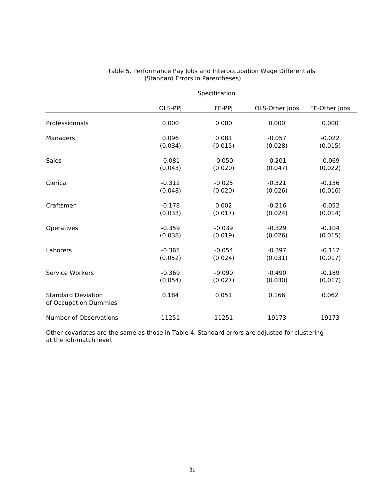|                                                    | OLS-PPJ  | FE-PPJ   | OLS-Other Jobs | FE-Other Jobs |
|----------------------------------------------------|----------|----------|----------------|---------------|
| Professionnals                                     | 0.000    | 0.000    | 0.000          | 0.000         |
| Managers                                           | 0.096    | 0.081    | $-0.057$       | $-0.022$      |
|                                                    | (0.034)  | (0.015)  | (0.028)        | (0.015)       |
| <b>Sales</b>                                       | $-0.081$ | $-0.050$ | $-0.201$       | $-0.069$      |
|                                                    | (0.043)  | (0.020)  | (0.047)        | (0.022)       |
| Clerical                                           | $-0.312$ | $-0.025$ | $-0.321$       | $-0.136$      |
|                                                    | (0.048)  | (0.020)  | (0.026)        | (0.016)       |
| Craftsmen                                          | $-0.178$ | 0.002    | $-0.216$       | $-0.052$      |
|                                                    | (0.033)  | (0.017)  | (0.024)        | (0.014)       |
| Operatives                                         | $-0.359$ | $-0.039$ | $-0.329$       | $-0.104$      |
|                                                    | (0.038)  | (0.019)  | (0.026)        | (0.015)       |
| Laborers                                           | $-0.365$ | $-0.054$ | $-0.397$       | $-0.117$      |
|                                                    | (0.052)  | (0.024)  | (0.031)        | (0.017)       |
| Service Workers                                    | $-0.369$ | $-0.090$ | $-0.490$       | $-0.189$      |
|                                                    | (0.054)  | (0.027)  | (0.030)        | (0.017)       |
| <b>Standard Deviation</b><br>of Occupation Dummies | 0.184    | 0.051    | 0.166          | 0.062         |
| Number of Observations                             | 11251    | 11251    | 19173          | 19173         |

# Table 5. Performance Pay Jobs and Interoccupation Wage Differentials<br>(Standard Errors in Parentheses)

Specification

Other covariates are the same as those in Table 4. Standard errors are adjusted for clustering at the job-match level.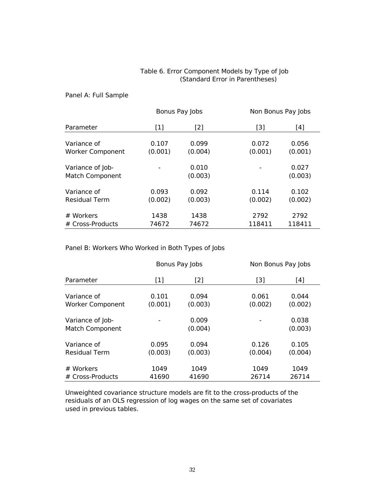#### Table 6. Error Component Models by Type of Job (Standard Error in Parentheses)

#### Panel A: Full Sample

|                                            |         | Bonus Pay Jobs   | Non Bonus Pay Jobs |                  |
|--------------------------------------------|---------|------------------|--------------------|------------------|
| Parameter                                  | $[1]$   | [2]              | $[3]$              | [4]              |
| Variance of                                | 0.107   | 0.099            | 0.072              | 0.056            |
| <b>Worker Component</b>                    | (0.001) | (0.004)          | (0.001)            | (0.001)          |
| Variance of Job-<br><b>Match Component</b> |         | 0.010<br>(0.003) |                    | 0.027<br>(0.003) |
| Variance of                                | 0.093   | 0.092            | 0.114              | 0.102            |
| <b>Residual Term</b>                       | (0.002) | (0.003)          | (0.002)            | (0.002)          |
| # Workers                                  | 1438    | 1438             | 2792               | 2792             |
| # Cross-Products                           | 74672   | 74672            | 118411             | 118411           |

Panel B: Workers Who Worked in Both Types of Jobs

|                                            |                  | Bonus Pay Jobs   |                  | Non Bonus Pay Jobs |
|--------------------------------------------|------------------|------------------|------------------|--------------------|
| Parameter                                  | $[1]$            | [2]              | [3]              | [4]                |
| Variance of                                | 0.101            | 0.094            | 0.061            | 0.044              |
| <b>Worker Component</b>                    | (0.001)          | (0.003)          | (0.002)          | (0.002)            |
| Variance of Job-<br><b>Match Component</b> |                  | 0.009<br>(0.004) |                  | 0.038<br>(0.003)   |
| Variance of<br><b>Residual Term</b>        | 0.095<br>(0.003) | 0.094<br>(0.003) | 0.126<br>(0.004) | 0.105<br>(0.004)   |
| # Workers<br># Cross-Products              | 1049<br>41690    | 1049<br>41690    | 1049<br>26714    | 1049<br>26714      |

Unweighted covariance structure models are fit to the cross-products of the residuals of an OLS regression of log wages on the same set of covariates used in previous tables.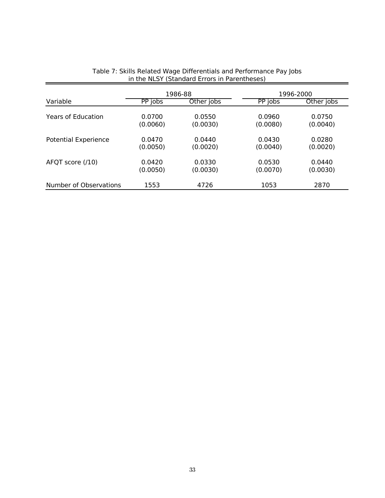|                             | 1986-88  |            | 1996-2000 |            |  |
|-----------------------------|----------|------------|-----------|------------|--|
| Variable                    | PP jobs  | Other jobs | PP jobs   | Other jobs |  |
| <b>Years of Education</b>   | 0.0700   | 0.0550     | 0.0960    | 0.0750     |  |
|                             | (0.0060) | (0.0030)   | (0.0080)  | (0.0040)   |  |
| <b>Potential Experience</b> | 0.0470   | 0.0440     | 0.0430    | 0.0280     |  |
|                             | (0.0050) | (0.0020)   | (0.0040)  | (0.0020)   |  |
| AFQT score (/10)            | 0.0420   | 0.0330     | 0.0530    | 0.0440     |  |
|                             | (0.0050) | (0.0030)   | (0.0070)  | (0.0030)   |  |
| Number of Observations      | 1553     | 4726       | 1053      | 2870       |  |

# Table 7: Skills Related Wage Differentials and Performance Pay Jobs<br>in the NLSY (Standard Errors in Parentheses)